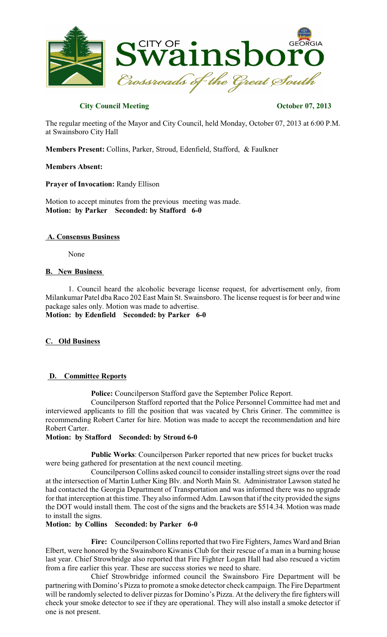

# **City Council Meeting Contract Contract Contract Contract Contract Contract Contract Contract Contract Contract Contract Contract Contract Contract Contract Contract Contract Contract Contract Contract Contract Contract Co**

The regular meeting of the Mayor and City Council, held Monday, October 07, 2013 at 6:00 P.M. at Swainsboro City Hall

**Members Present:** Collins, Parker, Stroud, Edenfield, Stafford, & Faulkner

#### **Members Absent:**

**Prayer of Invocation:** Randy Ellison

Motion to accept minutes from the previous meeting was made. **Motion: by Parker Seconded: by Stafford 6-0**

#### **A. Consensus Business**

None

# **B. New Business**

1. Council heard the alcoholic beverage license request, for advertisement only, from Milankumar Patel dba Raco 202 East Main St. Swainsboro. The license request is for beer and wine package sales only. Motion was made to advertise. **Motion: by Edenfield Seconded: by Parker 6-0**

# **C. Old Business**

# **D. Committee Reports**

**Police:** Councilperson Stafford gave the September Police Report.

Councilperson Stafford reported that the Police Personnel Committee had met and interviewed applicants to fill the position that was vacated by Chris Griner. The committee is recommending Robert Carter for hire. Motion was made to accept the recommendation and hire Robert Carter.

#### **Motion: by Stafford Seconded: by Stroud 6-0**

**Public Works**: Councilperson Parker reported that new prices for bucket trucks were being gathered for presentation at the next council meeting.

Councilperson Collins asked council to consider installing street signs over the road at the intersection of Martin Luther King Blv. and North Main St. Administrator Lawson stated he had contacted the Georgia Department of Transportation and was informed there was no upgrade for that interception at this time. They also informed Adm. Lawson that if the city provided the signs the DOT would install them. The cost of the signs and the brackets are \$514.34. Motion was made to install the signs.

#### **Motion: by Collins Seconded: by Parker 6-0**

Fire: Councilperson Collins reported that two Fire Fighters, James Ward and Brian Elbert, were honored by the Swainsboro Kiwanis Club for their rescue of a man in a burning house last year. Chief Strowbridge also reported that Fire Fighter Logan Hall had also rescued a victim from a fire earlier this year. These are success stories we need to share.

Chief Strowbridge informed council the Swainsboro Fire Department will be partnering with Domino's Pizza to promote a smoke detector check campaign. The Fire Department will be randomly selected to deliver pizzas for Domino's Pizza. At the delivery the fire fighters will check your smoke detector to see if they are operational. They will also install a smoke detector if one is not present.